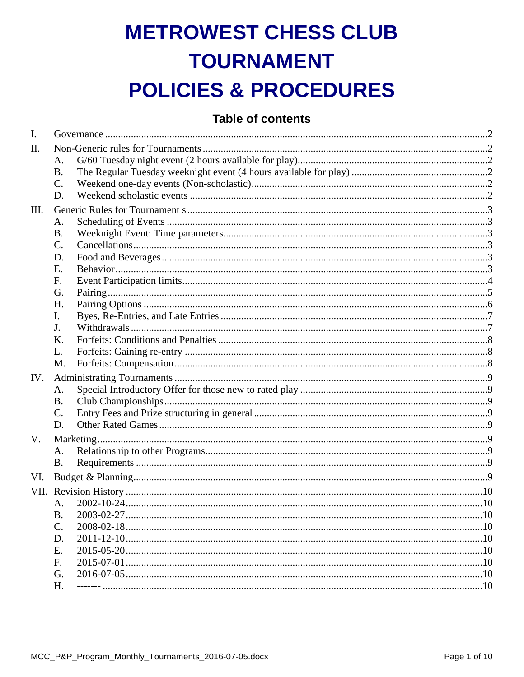# **METROWEST CHESS CLUB TOURNAMENT POLICIES & PROCEDURES**

# **Table of contents**

| I.   |                 |  |  |  |  |
|------|-----------------|--|--|--|--|
| Π.   |                 |  |  |  |  |
|      | A.              |  |  |  |  |
|      | <b>B.</b>       |  |  |  |  |
|      | $\mathcal{C}$ . |  |  |  |  |
|      | D.              |  |  |  |  |
| III. |                 |  |  |  |  |
|      | A.              |  |  |  |  |
|      | <b>B.</b>       |  |  |  |  |
|      | $\mathcal{C}$ . |  |  |  |  |
|      | D.              |  |  |  |  |
|      | E.              |  |  |  |  |
|      | F.              |  |  |  |  |
|      | G.              |  |  |  |  |
|      | H.              |  |  |  |  |
|      | I.              |  |  |  |  |
|      | J.              |  |  |  |  |
|      | Κ.              |  |  |  |  |
|      | L.              |  |  |  |  |
|      | M.              |  |  |  |  |
| IV.  |                 |  |  |  |  |
|      | A.              |  |  |  |  |
|      | <b>B.</b>       |  |  |  |  |
|      | C.              |  |  |  |  |
|      | D.              |  |  |  |  |
| V.   |                 |  |  |  |  |
|      | A.              |  |  |  |  |
|      | <b>B.</b>       |  |  |  |  |
| VI.  |                 |  |  |  |  |
| VII. |                 |  |  |  |  |
|      | A <sub>1</sub>  |  |  |  |  |
|      | <b>B.</b>       |  |  |  |  |
|      | C.              |  |  |  |  |
|      | D.              |  |  |  |  |
|      | E.              |  |  |  |  |
|      | F.              |  |  |  |  |
|      | G.              |  |  |  |  |
|      | H.              |  |  |  |  |
|      |                 |  |  |  |  |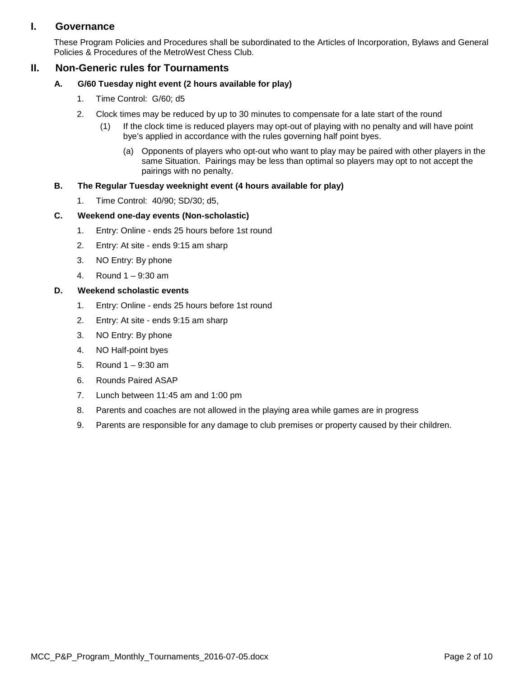# <span id="page-1-0"></span>**I. Governance**

These Program Policies and Procedures shall be subordinated to the Articles of Incorporation, Bylaws and General Policies & Procedures of the MetroWest Chess Club.

# <span id="page-1-2"></span><span id="page-1-1"></span>**II. Non-Generic rules for Tournaments**

- **A. G/60 Tuesday night event (2 hours available for play)**
	- 1. Time Control: G/60; d5
	- 2. Clock times may be reduced by up to 30 minutes to compensate for a late start of the round
		- (1) If the clock time is reduced players may opt-out of playing with no penalty and will have point bye's applied in accordance with the rules governing half point byes.
			- (a) Opponents of players who opt-out who want to play may be paired with other players in the same Situation. Pairings may be less than optimal so players may opt to not accept the pairings with no penalty.

# <span id="page-1-3"></span>**B. The Regular Tuesday weeknight event (4 hours available for play)**

1. Time Control: 40/90; SD/30; d5,

# <span id="page-1-4"></span>**C. Weekend one-day events (Non-scholastic)**

- 1. Entry: Online ends 25 hours before 1st round
- 2. Entry: At site ends 9:15 am sharp
- 3. NO Entry: By phone
- 4. Round 1 9:30 am

# <span id="page-1-5"></span>**D. Weekend scholastic events**

- 1. Entry: Online ends 25 hours before 1st round
- 2. Entry: At site ends 9:15 am sharp
- 3. NO Entry: By phone
- 4. NO Half-point byes
- 5. Round 1 9:30 am
- 6. Rounds Paired ASAP
- 7. Lunch between 11:45 am and 1:00 pm
- 8. Parents and coaches are not allowed in the playing area while games are in progress
- 9. Parents are responsible for any damage to club premises or property caused by their children.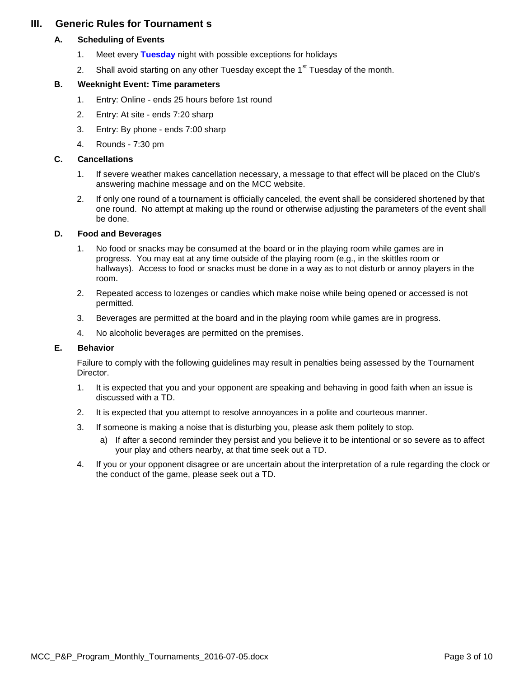# <span id="page-2-1"></span><span id="page-2-0"></span>**III. Generic Rules for Tournament s**

#### **A. Scheduling of Events**

- 1. Meet every **Tuesday** night with possible exceptions for holidays
- 2. Shall avoid starting on any other Tuesday except the  $1<sup>st</sup>$  Tuesday of the month.

#### <span id="page-2-2"></span>**B. Weeknight Event: Time parameters**

- 1. Entry: Online ends 25 hours before 1st round
- 2. Entry: At site ends 7:20 sharp
- 3. Entry: By phone ends 7:00 sharp
- 4. Rounds 7:30 pm

#### <span id="page-2-3"></span>**C. Cancellations**

- 1. If severe weather makes cancellation necessary, a message to that effect will be placed on the Club's answering machine message and on the MCC website.
- 2. If only one round of a tournament is officially canceled, the event shall be considered shortened by that one round. No attempt at making up the round or otherwise adjusting the parameters of the event shall be done.

#### <span id="page-2-4"></span>**D. Food and Beverages**

- 1. No food or snacks may be consumed at the board or in the playing room while games are in progress. You may eat at any time outside of the playing room (e.g., in the skittles room or hallways). Access to food or snacks must be done in a way as to not disturb or annoy players in the room.
- 2. Repeated access to lozenges or candies which make noise while being opened or accessed is not permitted.
- 3. Beverages are permitted at the board and in the playing room while games are in progress.
- 4. No alcoholic beverages are permitted on the premises.

#### <span id="page-2-5"></span>**E. Behavior**

Failure to comply with the following guidelines may result in penalties being assessed by the Tournament Director.

- 1. It is expected that you and your opponent are speaking and behaving in good faith when an issue is discussed with a TD.
- 2. It is expected that you attempt to resolve annoyances in a polite and courteous manner.
- 3. If someone is making a noise that is disturbing you, please ask them politely to stop.
	- a) If after a second reminder they persist and you believe it to be intentional or so severe as to affect your play and others nearby, at that time seek out a TD.
- 4. If you or your opponent disagree or are uncertain about the interpretation of a rule regarding the clock or the conduct of the game, please seek out a TD.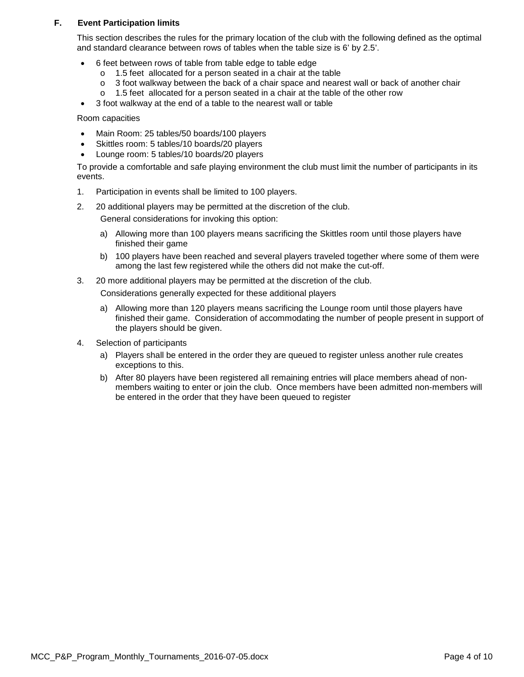#### <span id="page-3-0"></span>**F. Event Participation limits**

This section describes the rules for the primary location of the club with the following defined as the optimal and standard clearance between rows of tables when the table size is 6' by 2.5'.

- 6 feet between rows of table from table edge to table edge
	- $\circ$  1.5 feet allocated for a person seated in a chair at the table  $\circ$  3 foot walkway between the back of a chair space and neare
	- $\circ$  3 foot walkway between the back of a chair space and nearest wall or back of another chair  $\circ$  1.5 feet allocated for a person seated in a chair at the table of the other row
	- 1.5 feet allocated for a person seated in a chair at the table of the other row
- 3 foot walkway at the end of a table to the nearest wall or table

Room capacities

- Main Room: 25 tables/50 boards/100 players
- Skittles room: 5 tables/10 boards/20 players
- Lounge room: 5 tables/10 boards/20 players

To provide a comfortable and safe playing environment the club must limit the number of participants in its events.

- 1. Participation in events shall be limited to 100 players.
- 2. 20 additional players may be permitted at the discretion of the club. General considerations for invoking this option:
	- a) Allowing more than 100 players means sacrificing the Skittles room until those players have finished their game
	- b) 100 players have been reached and several players traveled together where some of them were among the last few registered while the others did not make the cut-off.
- 3. 20 more additional players may be permitted at the discretion of the club.

Considerations generally expected for these additional players

- a) Allowing more than 120 players means sacrificing the Lounge room until those players have finished their game. Consideration of accommodating the number of people present in support of the players should be given.
- 4. Selection of participants
	- a) Players shall be entered in the order they are queued to register unless another rule creates exceptions to this.
	- b) After 80 players have been registered all remaining entries will place members ahead of nonmembers waiting to enter or join the club. Once members have been admitted non-members will be entered in the order that they have been queued to register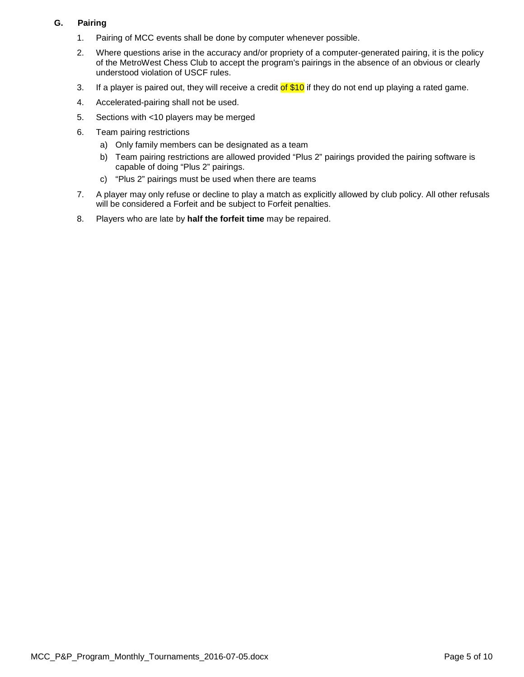## <span id="page-4-0"></span>**G. Pairing**

- 1. Pairing of MCC events shall be done by computer whenever possible.
- 2. Where questions arise in the accuracy and/or propriety of a computer-generated pairing, it is the policy of the MetroWest Chess Club to accept the program's pairings in the absence of an obvious or clearly understood violation of USCF rules.
- 3. If a player is paired out, they will receive a credit of \$10 if they do not end up playing a rated game.
- 4. Accelerated-pairing shall not be used.
- 5. Sections with <10 players may be merged
- 6. Team pairing restrictions
	- a) Only family members can be designated as a team
	- b) Team pairing restrictions are allowed provided "Plus 2" pairings provided the pairing software is capable of doing "Plus 2" pairings.
	- c) "Plus 2" pairings must be used when there are teams
- 7. A player may only refuse or decline to play a match as explicitly allowed by club policy. All other refusals will be considered a Forfeit and be subject to Forfeit penalties.
- 8. Players who are late by **half the forfeit time** may be repaired.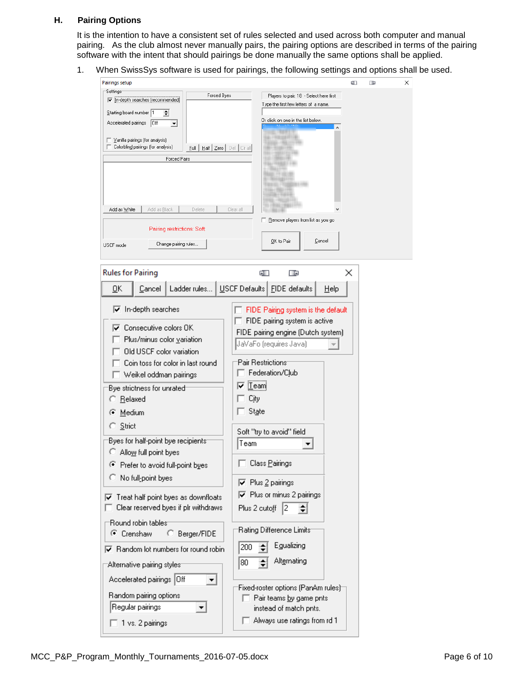#### <span id="page-5-0"></span>**H. Pairing Options**

It is the intention to have a consistent set of rules selected and used across both computer and manual pairing. As the club almost never manually pairs, the pairing options are described in terms of the pairing software with the intent that should pairings be done manually the same options shall be applied.

1. When SwissSys software is used for pairings, the following settings and options shall be used.

| Pairings setup                                                                                              |                                                                             |                                |                                              |                                    | Œ | œ | × |
|-------------------------------------------------------------------------------------------------------------|-----------------------------------------------------------------------------|--------------------------------|----------------------------------------------|------------------------------------|---|---|---|
| ⊤Settings<br>√ in-depth searches (recommended)                                                              | Forced Byes                                                                 |                                | Players to pair: 18 - Select here first      |                                    |   |   |   |
|                                                                                                             | Type the first few letters of a name.<br>Or click on one in the list below. |                                |                                              |                                    |   |   |   |
| Starting board number 1<br>$\div$                                                                           |                                                                             |                                |                                              |                                    |   |   |   |
| Accelerated pairings<br> Off<br>$\blacktriangledown$                                                        |                                                                             |                                |                                              |                                    |   |   |   |
| Vanilla pairings (for analysis)                                                                             |                                                                             |                                |                                              |                                    |   |   |   |
| Colorblind pairings (for analysis)                                                                          | Half Zero   Del   Cirall<br>Full                                            |                                |                                              |                                    |   |   |   |
| <b>Forced Pairs</b>                                                                                         |                                                                             |                                |                                              |                                    |   |   |   |
|                                                                                                             |                                                                             |                                |                                              |                                    |   |   |   |
|                                                                                                             |                                                                             |                                |                                              |                                    |   |   |   |
|                                                                                                             |                                                                             |                                |                                              |                                    |   |   |   |
| Add as White<br>Add as Black                                                                                | Delete                                                                      | Clear all                      |                                              |                                    |   |   |   |
|                                                                                                             |                                                                             |                                |                                              | Remove players from list as you go |   |   |   |
| Pairing restrictions: Soft;                                                                                 |                                                                             |                                |                                              |                                    |   |   |   |
| Change pairing rules<br>USCF mode                                                                           |                                                                             |                                | OK to Pair                                   | Cancel                             |   |   |   |
|                                                                                                             |                                                                             |                                |                                              |                                    |   |   |   |
|                                                                                                             |                                                                             |                                |                                              |                                    |   |   |   |
| <b>Rules for Pairing</b>                                                                                    |                                                                             |                                | œ<br>Œ                                       |                                    | × |   |   |
| Cancel<br>ŌΚ                                                                                                | Ladder rules                                                                |                                | USCF Defaults   FIDE defaults                | Help                               |   |   |   |
|                                                                                                             |                                                                             |                                |                                              |                                    |   |   |   |
| $\overline{\blacktriangledown}$ In-depth searches                                                           |                                                                             |                                | FIDE Pairing system is the default           |                                    |   |   |   |
|                                                                                                             |                                                                             |                                | FIDE pairing system is active                |                                    |   |   |   |
| Consecutive colors OK                                                                                       |                                                                             |                                | FIDE pairing engine (Dutch system)           |                                    |   |   |   |
| Plus/minus color variation                                                                                  |                                                                             |                                | JaVaFo (requires Java)                       |                                    |   |   |   |
| Old USCF color variation                                                                                    |                                                                             |                                |                                              |                                    |   |   |   |
| Coin toss for color in last round                                                                           |                                                                             | Pair Restrictions <sup>.</sup> |                                              |                                    |   |   |   |
| Weikel oddman pairings                                                                                      | Federation/Club                                                             |                                |                                              |                                    |   |   |   |
| Bye strictness for unrated                                                                                  |                                                                             | il eami                        |                                              |                                    |   |   |   |
| Relaxed                                                                                                     | City                                                                        |                                |                                              |                                    |   |   |   |
| Medium                                                                                                      |                                                                             |                                | State                                        |                                    |   |   |   |
| Strict                                                                                                      |                                                                             |                                |                                              |                                    |   |   |   |
|                                                                                                             |                                                                             |                                | Soft "try to avoid" field                    |                                    |   |   |   |
| Byes for half-point bye recipients:                                                                         |                                                                             | Team                           |                                              |                                    |   |   |   |
| Allow full point byes<br>o                                                                                  |                                                                             |                                |                                              |                                    |   |   |   |
| Prefer to avoid full-point byes<br>Ţ.                                                                       |                                                                             |                                | Class Pairings                               |                                    |   |   |   |
| C No full-point byes                                                                                        |                                                                             |                                | $\nabla$ Plus 2 pairings                     |                                    |   |   |   |
|                                                                                                             |                                                                             |                                | $\overline{\nabla}$ Plus or minus 2 pairings |                                    |   |   |   |
| $\overline{\blacktriangledown}$ Treat half point byes as downfloats<br>Clear reserved byes if plr withdraws |                                                                             |                                |                                              |                                    |   |   |   |
|                                                                                                             |                                                                             |                                | 2<br>Plus 2 cutoff                           |                                    |   |   |   |
| Round robin tables:                                                                                         |                                                                             |                                |                                              |                                    |   |   |   |
| C Crenshaw                                                                                                  | <b>Berger/FIDE</b>                                                          |                                | Rating Difference Limits:                    |                                    |   |   |   |
| $\nabla$ Random lot numbers for round robin                                                                 |                                                                             | 200                            | Egualizing                                   |                                    |   |   |   |
|                                                                                                             |                                                                             | 80                             | Alternating                                  |                                    |   |   |   |
| Alternative pairing styles:                                                                                 |                                                                             |                                |                                              |                                    |   |   |   |
| Accelerated pairings Off                                                                                    |                                                                             |                                |                                              |                                    |   |   |   |
| Random pairing options                                                                                      | Fixed-roster options (PanAm rules) <del>.</del><br>Pair teams by game pnts  |                                |                                              |                                    |   |   |   |
| Regular pairings                                                                                            |                                                                             |                                |                                              |                                    |   |   |   |
|                                                                                                             | instead of match pnts.                                                      |                                |                                              |                                    |   |   |   |
| 1 vs. 2 pairings                                                                                            |                                                                             | Always use ratings from rd 1   |                                              |                                    |   |   |   |
|                                                                                                             |                                                                             |                                |                                              |                                    |   |   |   |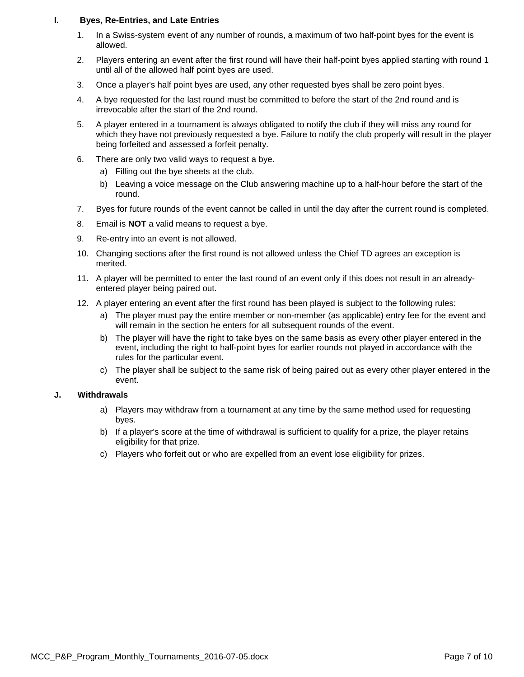#### **I. Byes, Re-Entries, and Late Entries**

- <span id="page-6-0"></span>1. In a Swiss-system event of any number of rounds, a maximum of two half-point byes for the event is allowed.
- 2. Players entering an event after the first round will have their half-point byes applied starting with round 1 until all of the allowed half point byes are used.
- 3. Once a player's half point byes are used, any other requested byes shall be zero point byes.
- 4. A bye requested for the last round must be committed to before the start of the 2nd round and is irrevocable after the start of the 2nd round.
- 5. A player entered in a tournament is always obligated to notify the club if they will miss any round for which they have not previously requested a bye. Failure to notify the club properly will result in the player being forfeited and assessed a forfeit penalty.
- 6. There are only two valid ways to request a bye.
	- a) Filling out the bye sheets at the club.
	- b) Leaving a voice message on the Club answering machine up to a half-hour before the start of the round.
- 7. Byes for future rounds of the event cannot be called in until the day after the current round is completed.
- 8. Email is **NOT** a valid means to request a bye.
- 9. Re-entry into an event is not allowed.
- 10. Changing sections after the first round is not allowed unless the Chief TD agrees an exception is merited.
- 11. A player will be permitted to enter the last round of an event only if this does not result in an alreadyentered player being paired out.
- 12. A player entering an event after the first round has been played is subject to the following rules:
	- a) The player must pay the entire member or non-member (as applicable) entry fee for the event and will remain in the section he enters for all subsequent rounds of the event.
	- b) The player will have the right to take byes on the same basis as every other player entered in the event, including the right to half-point byes for earlier rounds not played in accordance with the rules for the particular event.
	- c) The player shall be subject to the same risk of being paired out as every other player entered in the event.

#### <span id="page-6-1"></span>**J. Withdrawals**

- a) Players may withdraw from a tournament at any time by the same method used for requesting byes.
- b) If a player's score at the time of withdrawal is sufficient to qualify for a prize, the player retains eligibility for that prize.
- c) Players who forfeit out or who are expelled from an event lose eligibility for prizes.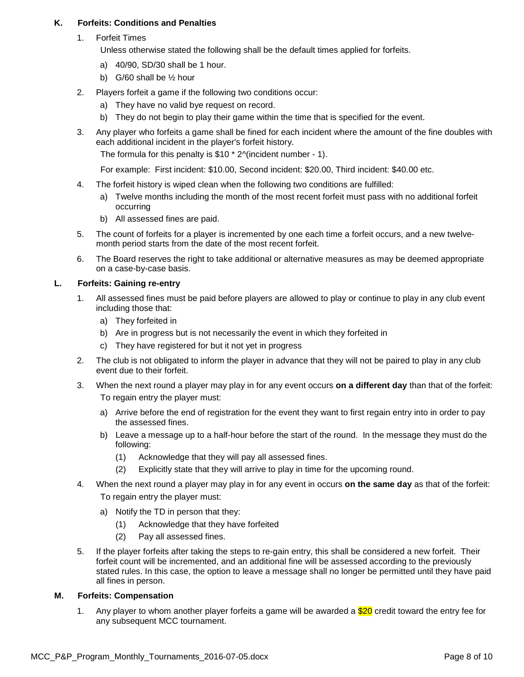#### <span id="page-7-0"></span>**K. Forfeits: Conditions and Penalties**

1. Forfeit Times

Unless otherwise stated the following shall be the default times applied for forfeits.

- a) 40/90, SD/30 shall be 1 hour.
- b) G/60 shall be  $\frac{1}{2}$  hour
- 2. Players forfeit a game if the following two conditions occur:
	- a) They have no valid bye request on record.
	- b) They do not begin to play their game within the time that is specified for the event.
- 3. Any player who forfeits a game shall be fined for each incident where the amount of the fine doubles with each additional incident in the player's forfeit history.

The formula for this penalty is \$10 \* 2^(incident number - 1).

For example: First incident: \$10.00, Second incident: \$20.00, Third incident: \$40.00 etc.

- 4. The forfeit history is wiped clean when the following two conditions are fulfilled:
	- a) Twelve months including the month of the most recent forfeit must pass with no additional forfeit occurring
	- b) All assessed fines are paid.
- 5. The count of forfeits for a player is incremented by one each time a forfeit occurs, and a new twelvemonth period starts from the date of the most recent forfeit.
- 6. The Board reserves the right to take additional or alternative measures as may be deemed appropriate on a case-by-case basis.

#### <span id="page-7-1"></span>**L. Forfeits: Gaining re-entry**

- 1. All assessed fines must be paid before players are allowed to play or continue to play in any club event including those that:
	- a) They forfeited in
	- b) Are in progress but is not necessarily the event in which they forfeited in
	- c) They have registered for but it not yet in progress
- 2. The club is not obligated to inform the player in advance that they will not be paired to play in any club event due to their forfeit.
- 3. When the next round a player may play in for any event occurs **on a different day** than that of the forfeit: To regain entry the player must:
	- a) Arrive before the end of registration for the event they want to first regain entry into in order to pay the assessed fines.
	- b) Leave a message up to a half-hour before the start of the round. In the message they must do the following:
		- (1) Acknowledge that they will pay all assessed fines.
		- (2) Explicitly state that they will arrive to play in time for the upcoming round.
- 4. When the next round a player may play in for any event in occurs **on the same day** as that of the forfeit: To regain entry the player must:
	- a) Notify the TD in person that they:
		- (1) Acknowledge that they have forfeited
		- (2) Pay all assessed fines.
- 5. If the player forfeits after taking the steps to re-gain entry, this shall be considered a new forfeit. Their forfeit count will be incremented, and an additional fine will be assessed according to the previously stated rules. In this case, the option to leave a message shall no longer be permitted until they have paid all fines in person.

#### <span id="page-7-2"></span>**M. Forfeits: Compensation**

1. Any player to whom another player forfeits a game will be awarded a  $$20$  credit toward the entry fee for any subsequent MCC tournament.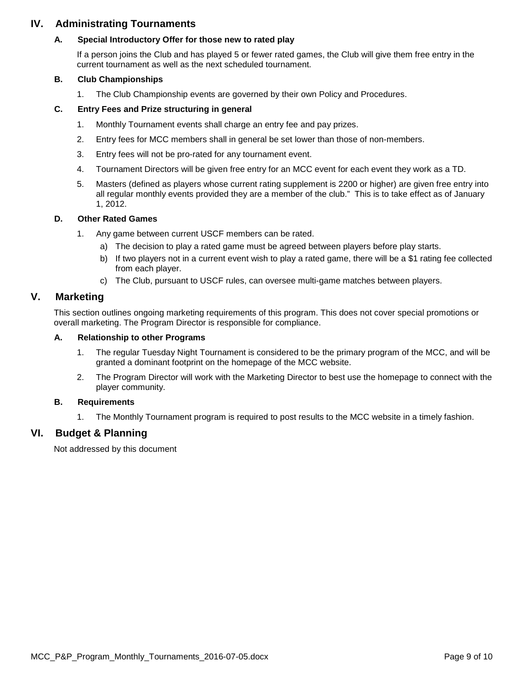# <span id="page-8-1"></span><span id="page-8-0"></span>**IV. Administrating Tournaments**

#### **A. Special Introductory Offer for those new to rated play**

If a person joins the Club and has played 5 or fewer rated games, the Club will give them free entry in the current tournament as well as the next scheduled tournament.

#### <span id="page-8-2"></span>**B. Club Championships**

1. The Club Championship events are governed by their own Policy and Procedures.

#### <span id="page-8-3"></span>**C. Entry Fees and Prize structuring in general**

- 1. Monthly Tournament events shall charge an entry fee and pay prizes.
- 2. Entry fees for MCC members shall in general be set lower than those of non-members.
- 3. Entry fees will not be pro-rated for any tournament event.
- 4. Tournament Directors will be given free entry for an MCC event for each event they work as a TD.
- 5. Masters (defined as players whose current rating supplement is 2200 or higher) are given free entry into all regular monthly events provided they are a member of the club." This is to take effect as of January 1, 2012.

#### <span id="page-8-4"></span>**D. Other Rated Games**

- 1. Any game between current USCF members can be rated.
	- a) The decision to play a rated game must be agreed between players before play starts.
	- b) If two players not in a current event wish to play a rated game, there will be a \$1 rating fee collected from each player.
	- c) The Club, pursuant to USCF rules, can oversee multi-game matches between players.

## <span id="page-8-5"></span>**V. Marketing**

This section outlines ongoing marketing requirements of this program. This does not cover special promotions or overall marketing. The Program Director is responsible for compliance.

#### <span id="page-8-6"></span>**A. Relationship to other Programs**

- 1. The regular Tuesday Night Tournament is considered to be the primary program of the MCC, and will be granted a dominant footprint on the homepage of the MCC website.
- 2. The Program Director will work with the Marketing Director to best use the homepage to connect with the player community.

#### <span id="page-8-7"></span>**B. Requirements**

1. The Monthly Tournament program is required to post results to the MCC website in a timely fashion.

## <span id="page-8-8"></span>**VI. Budget & Planning**

Not addressed by this document